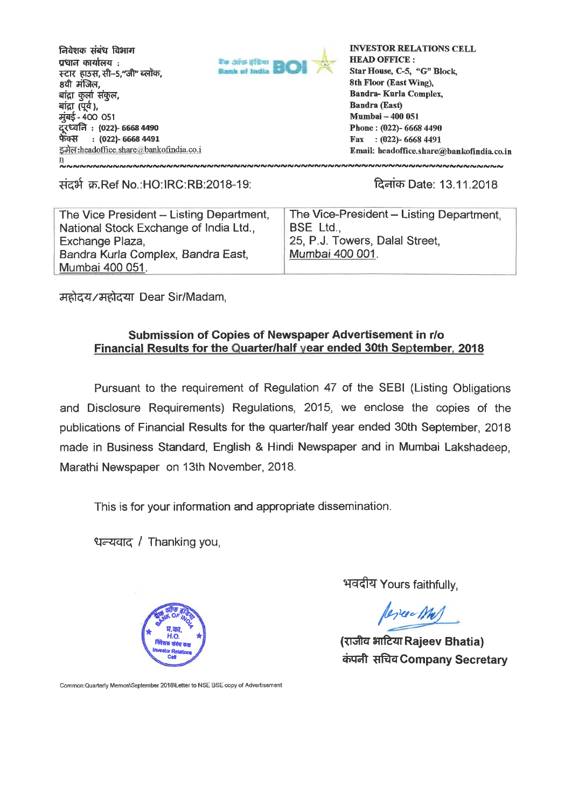**मियेशक संबंध विभाग**  $\overline{\textbf{w}}$ धाल कार्यालय $\overline{\textbf{w}}$ **स्टार हा**5स, सी-5,"जी" ब्लॉक, **84" dam,**  बांद्रा कुर्ला संकुल, बांद्रा *(पूर्व*), मुंबई - 400 051 **Lit : (022)- 6668 4490 eh-Q:1 : (022)- 6668 4491**  इमेल: headoffice.share @bankofindia.co.i n 



**INVESTOR RELATIONS CELL HEAD OFFICE : Star House, C-5, "G" Block, 8th Floor (East Wing), Bandra- Kurla Complex, Bandra (East) Mumbai — 400 051 Phone : (022)- 6668 4490 Fax : (022)- 6668 4491 Email: headoffice. share@bankofindia. co. in** 

.Ref No.:HO:IRC:RB:2018-19: W Date: 13.11.2018

| The Vice President - Listing Department, | The Vice-President - Listing Department. |
|------------------------------------------|------------------------------------------|
| National Stock Exchange of India Ltd.,   | <b>BSE Ltd.,</b>                         |
| Exchange Plaza,                          | 25, P.J. Towers, Dalal Street,           |
| Bandra Kurla Complex, Bandra East,       | Mumbai 400 001.                          |
| Mumbai 400 051.                          |                                          |

Trftzfig:1-0-47IT Dear Sir/Madam,

#### **Submission of Copies of Newspaper Advertisement in r/o Financial Results for the Quarter/half year ended 30th September, 2018**

Pursuant to the requirement of Regulation 47 of the SEBI (Listing Obligations and Disclosure Requirements) Regulations, 2015, we enclose the copies of the publications of Financial Results for the quarter/half year ended 30th September, 2018 made in Business Standard, English & Hindi Newspaper and in Mumbai Lakshadeep, Marathi Newspaper on 13th November, 2018.

This is for your information and appropriate dissemination.

/ Thanking you,



भवदीय Yours faithfully,

**//172ef\***

(राजीव भाटिया Rajeev Bhatia) **ciNan iar4Company Secretary** 

Common:Quarterly Memos\September 2018\Letter to NSE BSE copy of Advertisement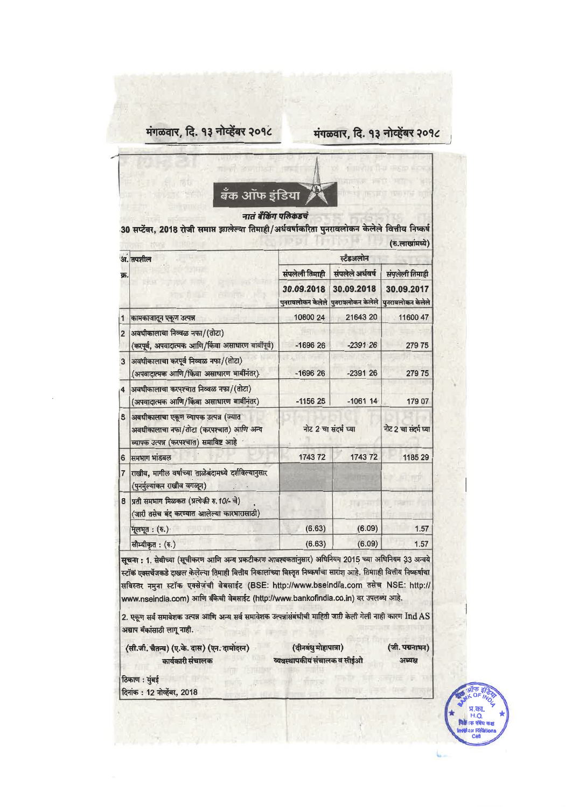### मंगळवार, दि. १३ नोव्हेंबर २०१८

### मंगळवार, दि. १३ नोव्हेंबर २०१८



नातं बँकिंग पलिकडचं

30 सप्टेंबर, 2018 रोजी समाप्त झालेल्या तिमाही/अर्धवर्षाकरिता पुनरावलोकन केलेले वित्तीय निष्कर्ष

|                | अ. तपशील                                                                                                                   | स्टॅंडअलोन           |                                                   |                                 |
|----------------|----------------------------------------------------------------------------------------------------------------------------|----------------------|---------------------------------------------------|---------------------------------|
| क्र.           |                                                                                                                            | संपलेली तिमाही       | संपलेले अर्धवर्ष                                  | संपलेली तिमाही                  |
|                |                                                                                                                            | 30.09.2018           | 30.09.2018<br>पुनरावलोकन केलेले पुनरावलोकन केलेले | 30.09.2017<br>पुनरावलोकन केलेले |
| $\mathbf{1}$   | कामकाजातून एकूण उत्पन्न                                                                                                    | 10800 24             | 21643 20                                          | 11600 47                        |
| $\overline{2}$ | अवधीकालाचा निव्वळ नफा/(तोटा)<br>(करपूर्व, अपवादात्मक आणि/किंवा असाधारण बाबींपूर्व)                                         | $-169626$            | $-2391.26$                                        | 27975                           |
| 3              | अवधीकालाचा करपूर्व निव्वळ नफा/(तोटा)<br>(अपवादात्मक आणि/किंवा असाधारण बार्बीनंतर)                                          | $-169626$            | $-239126$                                         | 279 75                          |
| $\overline{4}$ | अवधीकालाचा करपश्चात निव्वळ नफा/(तोटा)<br>(अपवादात्मक आणि/किंवा असाधारण बाबींनंतर)                                          | $-115625$            | $-1061$ 14                                        | 179 07                          |
| 5              | अवधीकालाचा एकूण व्यापक उत्पन्न (ज्यात<br>अवधीकालाचा नफा/तोटा (करपश्चात) आणि अन्य<br>व्यापक उत्पन्न (करपश्चात) समाविष्ट आहे | नोट 2 चा संदर्भ घ्या |                                                   | नोट 2 चा संदर्भ घ्या            |
| 6              | समभाग भांडवल                                                                                                               | 1743 72              | 1743 72                                           | 1185 29                         |
| 7              | राखीव, मागील वर्षाच्या ताळेबंदामध्ये दर्शविल्यानुसार<br>(पुनर्मुल्यांकन राखीव वगळून)                                       |                      |                                                   |                                 |
| 8              | प्रती समभाग मिळकत (प्रत्येकी रु. 10/- चे)<br>(जारी तसेच बंद करण्यात आलेल्या कारभारासाठी)                                   |                      |                                                   |                                 |
|                | मूलभूत: (रु.)                                                                                                              | (6.63)               | (6.09)                                            | 1.57                            |
|                | सौम्यीकृत : (रु.)                                                                                                          | (6.63)               | (6.09)                                            | 1.57                            |

सूचना : 1. सेबीच्या (सूचीकरण आणि अन्य प्रकटीकरण आवश्यकतानुसार) अधिनियम 2015 च्या अधिनियम 33 अन्वये स्टॉक एक्सर्चेजकडे दाखल केलेल्या तिमाही वित्तीय निकालांच्या विस्तृत निष्कर्षाचा सारांश आहे. तिमााही वित्तीय निष्कर्षाचा सविस्तर नमुना स्टॉक एक्सेज़ंची वेबसाईट (BSE: http://www.bseindia.com तसेच NSE: http:// www.nseindia.com) आणि बँकेची वेबसाईट (http://www.bankofindia.co.in) वर उपलब्ध आहे.

2. एकूण सर्व समावेशक उत्पन्न आणि अन्य सर्व समावेशक उत्पन्नांसंबंधीची माहिती जारी केली गेली नाही कारण Ind AS अद्याप बँकांसाठी लागू नाही.

(सी.जी. चैतन्य) (ए.के. दास) (एन. दामोदरन) कार्यकारी संचालक

(दीनबंधु मोहापात्रा) व्यवस्थापकीयं संचालक व सीईओ (जी. पद्मनाभन) заказа

ठिकाण : मुंबई दिनांक: 12 नोव्हेंबर, 2018

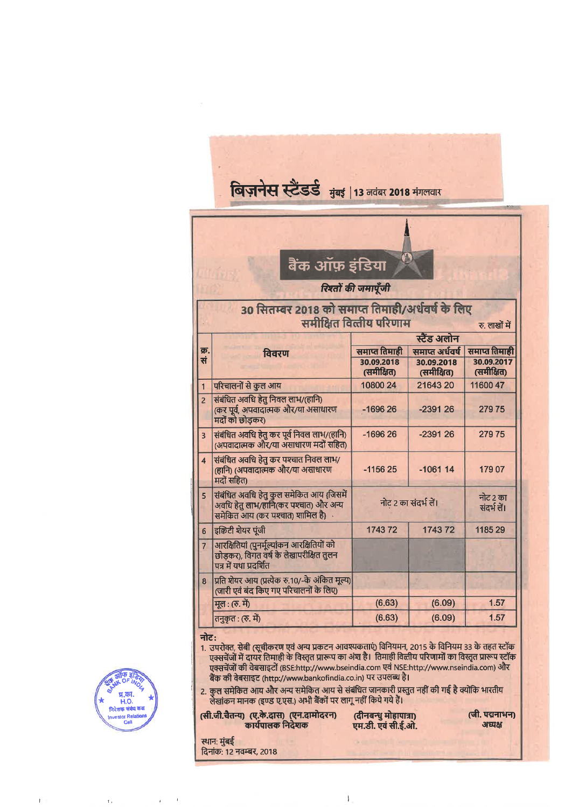| विज़नेस स्टैंडर्ड मुंबई   13 नवंबर 2018 मंगलवार                                              |                                                                                                                       |                                           |                                             |                                           |
|----------------------------------------------------------------------------------------------|-----------------------------------------------------------------------------------------------------------------------|-------------------------------------------|---------------------------------------------|-------------------------------------------|
|                                                                                              | बैंक ऑफ़ इंडिया                                                                                                       | रिश्तों की जमापूँजी                       |                                             |                                           |
| 30 सितम्बर 2018 को समाप्त तिमाही/अर्धवर्ष के लिए<br>समीक्षित वित्तीय परिणाम<br>रु. लाखों में |                                                                                                                       |                                           |                                             |                                           |
|                                                                                              |                                                                                                                       |                                           | स्टैंड अलोन                                 |                                           |
| क्र.<br>सं                                                                                   | विवरण                                                                                                                 | समाप्त तिमाही<br>30.09.2018<br>(समीक्षित) | समाप्त अर्धवर्ष<br>30.09.2018<br>(समीक्षित) | समाप्त तिमाही<br>30.09.2017<br>(समीक्षित) |
| $\mathbf{1}$                                                                                 | परिचालनों से कुल आय                                                                                                   | 10800 24                                  | 21643 20                                    | 11600 47                                  |
| $\overline{2}$                                                                               | संबंधित अवधि हेतु निवल लाभ/(हानि)<br>(कर पूर्व, अपवादात्मक और/या असाधारण<br>मदों को छोड़कर)                           | $-169626$                                 | $-239126$                                   | 27975                                     |
| $\overline{3}$                                                                               | संबंधित अवधि हेतु कर पूर्व निवल लाभ/(हानि)<br>(अपवादात्मक और/या अंसाधारण मदों सहित)                                   | $-169626$                                 | $-239126$                                   | 27975                                     |
| $\overline{\mathbf{4}}$                                                                      | संबंधित अवधि हेतु कर पश्चात निवल लाभ/<br>(हानि) (अपवादात्मक और/या असाधारण<br>मदों सहित)                               | $-115625$                                 | $-106114$                                   | 179 07                                    |
| 5                                                                                            | संबंधित अवधि हेतु कुल समेकित आय (जिसमें<br>अवधि हेतु लाभ/हानि(कर पश्चात) और अन्य<br>समेकित आय (कर पश्चात) शामिल है} . | नोट 2 का संदर्भ लें।                      |                                             | नोट २ का<br>संदर्भ लें।                   |
| 6                                                                                            | इक्विटी शेयर पूंजी                                                                                                    | 174372                                    | 174372                                      | 1185 29                                   |
| $\overline{7}$                                                                               | आरक्षितियां (पुनर्मूल्यांकन आरक्षितियों को<br>छोडकर), विगत वर्ष के लेखापरीक्षित तुलन<br>पत्र में यथा प्रदर्शित        |                                           |                                             |                                           |
| $\overline{8}$                                                                               | प्रति शेयर आय (प्रत्येक रु.10/-के अंकित मूल्य)<br>(जारी एवं बंद किए गए परिचालनों के लिए)                              |                                           |                                             |                                           |
|                                                                                              | मूल: (रु. में)                                                                                                        | (6.63)                                    | (6.09)                                      | 1.57                                      |
|                                                                                              | तनुकृत : (रु. में)                                                                                                    | (6.63)                                    | (6.09)                                      | 1.57                                      |



2. कुल समेकित आय और अन्य समेकित आय से संबंधित जानकारी प्रस्तुत नहीं की गई है क्योंकि भारतीय<br>लेखांकन मानक (इण्ड ए.एस.) अभी बैंकों पर लागू नहीं किये गये हैं।

(सी.जी.चैतन्य) (ए.के.दास) (एन.दामोदरन)<br>कार्यपालक निदेशक स्थानः मुंबई

दिनांक: 12 नवम्बर, 2018

(दीनबन्धु मोहापात्रा)<br>एम.डी. एवं सी.ई.ओ.

(जी. पद्मनाभन) अध्यक्ष